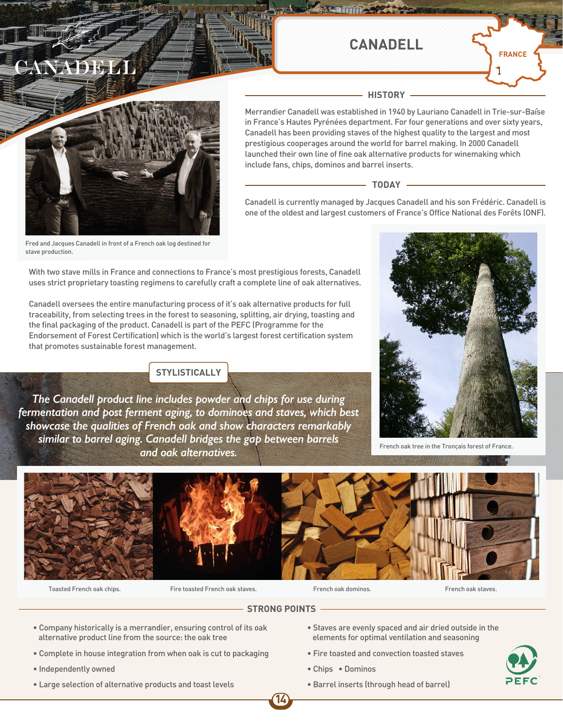# TAY A PER

## **CANADELL**

**HISTORY**



Merrandier Canadell was established in 1940 by Lauriano Canadell in Trie-sur-Baîse in France's Hautes Pyrénées department. For four generations and over sixty years, Canadell has been providing staves of the highest quality to the largest and most prestigious cooperages around the world for barrel making. In 2000 Canadell launched their own line of fine oak alternative products for winemaking which include fans, chips, dominos and barrel inserts.

#### $-$  TODAY  $\cdot$

Canadell is currently managed by Jacques Canadell and his son Frédéric. Canadell is one of the oldest and largest customers of France's Office National des Forêts (ONF).

Fred and Jacques Canadell in front of a French oak log destined for stave production.

With two stave mills in France and connections to France's most prestigious forests, Canadell uses strict proprietary toasting regimens to carefully craft a complete line of oak alternatives.

Canadell oversees the entire manufacturing process of it's oak alternative products for full traceability, from selecting trees in the forest to seasoning, splitting, air drying, toasting and the final packaging of the product. Canadell is part of the PEFC (Programme for the Endorsement of Forest Certification) which is the world's largest forest certification system that promotes sustainable forest management.

### **STYLISTICALLY**

*The Canadell product line includes powder and chips for use during fermentation and post ferment aging, to dominoes and staves, which best showcase the qualities of French oak and show characters remarkably similar to barrel aging. Canadell bridges the gap between barrels and oak alternatives.*



French oak tree in the Tronçais forest of France.



Toasted French oak chips. Fire toasted French oak staves. French oak dominos. French oak staves.



### **STRONG POINTS**

**14**

- Company historically is a merrandier, ensuring control of its oak alternative product line from the source: the oak tree
- Complete in house integration from when oak is cut to packaging
- Independently owned
- Large selection of alternative products and toast levels
- Staves are evenly spaced and air dried outside in the elements for optimal ventilation and seasoning
- Fire toasted and convection toasted staves
- Chips Dominos
- Barrel inserts (through head of barrel)